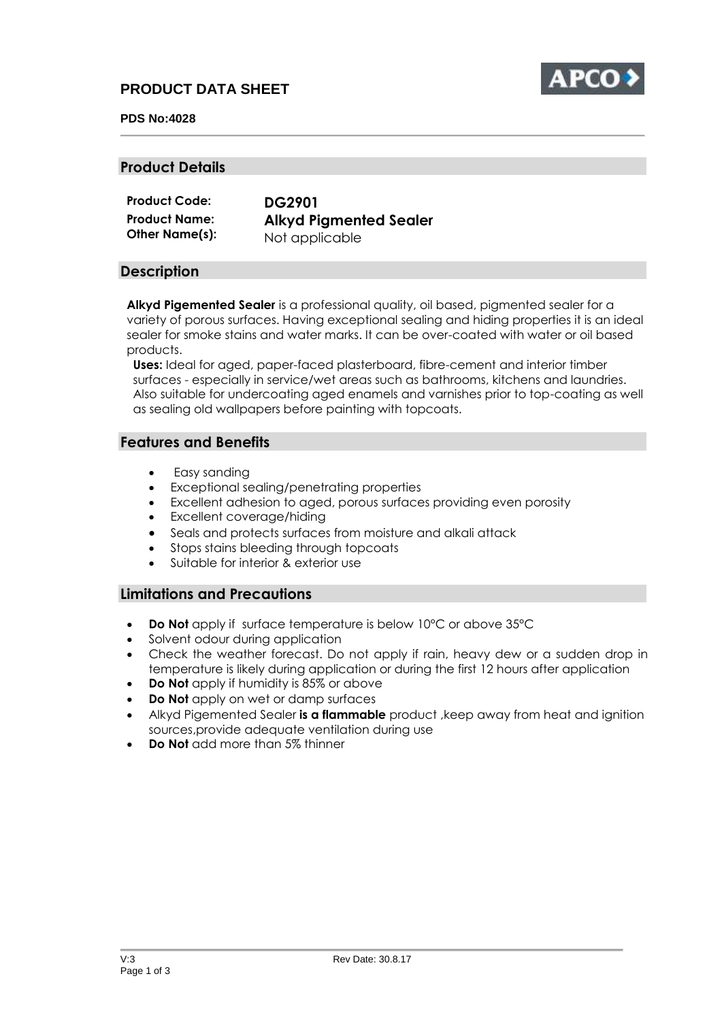# **PRODUCT DATA SHEET**



#### **PDS No:4028**

#### **Product Details**

| <b>Product Code:</b> | <b>DG2901</b>                 |
|----------------------|-------------------------------|
| <b>Product Name:</b> | <b>Alkyd Pigmented Sealer</b> |
| Other Name(s):       | Not applicable                |

### **Description**

**Alkyd Pigemented Sealer** is a professional quality, oil based, pigmented sealer for a variety of porous surfaces. Having exceptional sealing and hiding properties it is an ideal sealer for smoke stains and water marks. It can be over-coated with water or oil based products.

**Uses:** Ideal for aged, paper-faced plasterboard, fibre-cement and interior timber surfaces - especially in service/wet areas such as bathrooms, kitchens and laundries. Also suitable for undercoating aged enamels and varnishes prior to top-coating as well as sealing old wallpapers before painting with topcoats.

### **Features and Benefits**

- Easy sanding
- Exceptional sealing/penetrating properties
- Excellent adhesion to aged, porous surfaces providing even porosity
- Excellent coverage/hiding
- Seals and protects surfaces from moisture and alkali attack
- Stops stains bleeding through topcoats
- Suitable for interior & exterior use

## **Limitations and Precautions**

- **Do Not** apply if surface temperature is below 10°C or above 35°C
- Solvent odour during application
- Check the weather forecast. Do not apply if rain, heavy dew or a sudden drop in temperature is likely during application or during the first 12 hours after application
- **Do Not** apply if humidity is 85% or above
- **Do Not** apply on wet or damp surfaces
- Alkyd Pigemented Sealer **is a flammable** product ,keep away from heat and ignition sources,provide adequate ventilation during use
- **Do Not** add more than 5% thinner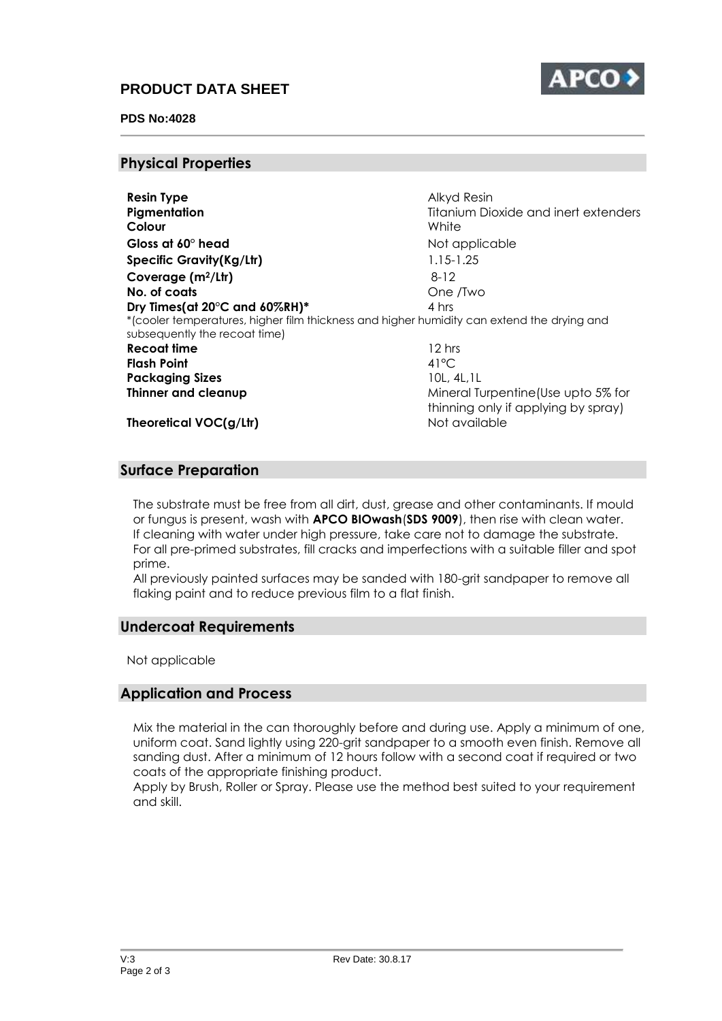# **PRODUCT DATA SHEET**



#### **PDS No:4028**

#### **Physical Properties**

| <b>Resin Type</b>               | Alkyd Resin                                                                                |
|---------------------------------|--------------------------------------------------------------------------------------------|
| Pigmentation                    | Titanium Dioxide and inert extenders                                                       |
| Colour                          | White                                                                                      |
| Gloss at $60^\circ$ head        | Not applicable                                                                             |
| <b>Specific Gravity(Kg/Ltr)</b> | $1.15 - 1.25$                                                                              |
| Coverage $(m^2/Ltr)$            | $8-12$                                                                                     |
| No. of coats                    | One /Two                                                                                   |
| Dry Times(at 20°C and 60%RH)*   | 4 hrs                                                                                      |
| subsequently the recoat time)   | *(cooler temperatures, higher film thickness and higher humidity can extend the drying and |
| Recoat time                     | 12 hrs                                                                                     |
| <b>Flash Point</b>              | $41^{\circ}$ C                                                                             |
| <b>Packaging Sizes</b>          | 10L, 4L, 1L                                                                                |
| Thinner and cleanup             | Mineral Turpentine (Use upto 5% for                                                        |
|                                 | thinning only if applying by spray)                                                        |
| Theoretical VOC(g/Ltr)          | Not available                                                                              |

### **Surface Preparation**

The substrate must be free from all dirt, dust, grease and other contaminants. If mould or fungus is present, wash with **APCO BIOwash**(**SDS 9009**), then rise with clean water. If cleaning with water under high pressure, take care not to damage the substrate. For all pre-primed substrates, fill cracks and imperfections with a suitable filler and spot prime.

All previously painted surfaces may be sanded with 180-grit sandpaper to remove all flaking paint and to reduce previous film to a flat finish.

#### **Undercoat Requirements**

Not applicable

## **Application and Process**

Mix the material in the can thoroughly before and during use. Apply a minimum of one, uniform coat. Sand lightly using 220-grit sandpaper to a smooth even finish. Remove all sanding dust. After a minimum of 12 hours follow with a second coat if required or two coats of the appropriate finishing product.

Apply by Brush, Roller or Spray. Please use the method best suited to your requirement and skill.